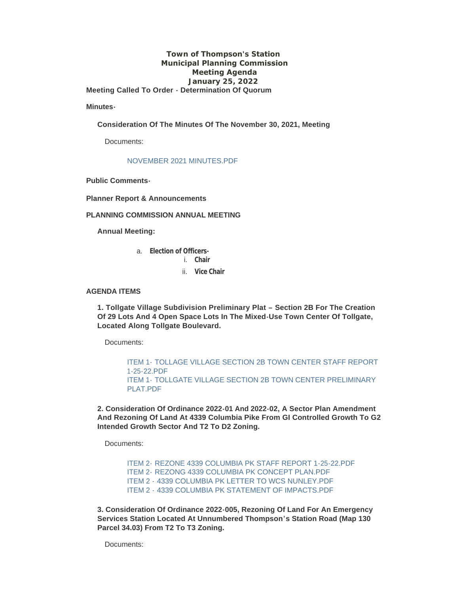### **Town of Thompson's Station Municipal Planning Commission Meeting Agenda January 25, 2022 Meeting Called To Order - Determination Of Quorum**

**Minutes-**

**Consideration Of The Minutes Of The November 30, 2021, Meeting**

Documents:

### [NOVEMBER 2021 MINUTES.PDF](https://www.thompsons-station.com/AgendaCenter/ViewFile/Item/3587?fileID=15145)

**Public Comments-**

**Planner Report & Announcements**

### **PLANNING COMMISSION ANNUAL MEETING**

**Annual Meeting:**

- a. **Election of Officers**
	- i. **Chair**
	- ii. **Vice Chair**

#### **AGENDA ITEMS**

**1. Tollgate Village Subdivision Preliminary Plat – Section 2B For The Creation Of 29 Lots And 4 Open Space Lots In The Mixed-Use Town Center Of Tollgate, Located Along Tollgate Boulevard.**

Documents:

ITEM 1- [TOLLAGE VILLAGE SECTION 2B TOWN CENTER STAFF REPORT](https://www.thompsons-station.com/AgendaCenter/ViewFile/Item/3588?fileID=15147)  1-25-22.PDF ITEM 1- [TOLLGATE VILLAGE SECTION 2B TOWN CENTER PRELIMINARY](https://www.thompsons-station.com/AgendaCenter/ViewFile/Item/3588?fileID=15146)  PLAT PDF

**2. Consideration Of Ordinance 2022-01 And 2022-02, A Sector Plan Amendment And Rezoning Of Land At 4339 Columbia Pike From GI Controlled Growth To G2 Intended Growth Sector And T2 To D2 Zoning.**

Documents:

ITEM 2- [REZONE 4339 COLUMBIA PK STAFF REPORT 1-25-22.PDF](https://www.thompsons-station.com/AgendaCenter/ViewFile/Item/3590?fileID=15150) ITEM 2- [REZONG 4339 COLUMBIA PK CONCEPT PLAN.PDF](https://www.thompsons-station.com/AgendaCenter/ViewFile/Item/3590?fileID=15151) ITEM 2 - [4339 COLUMBIA PK LETTER TO WCS NUNLEY.PDF](https://www.thompsons-station.com/AgendaCenter/ViewFile/Item/3590?fileID=15148) ITEM 2 - [4339 COLUMBIA PK STATEMENT OF IMPACTS.PDF](https://www.thompsons-station.com/AgendaCenter/ViewFile/Item/3590?fileID=15149)

**3. Consideration Of Ordinance 2022-005, Rezoning Of Land For An Emergency Services Station Located At Unnumbered Thompson's Station Road (Map 130 Parcel 34.03) From T2 To T3 Zoning.**

Documents: